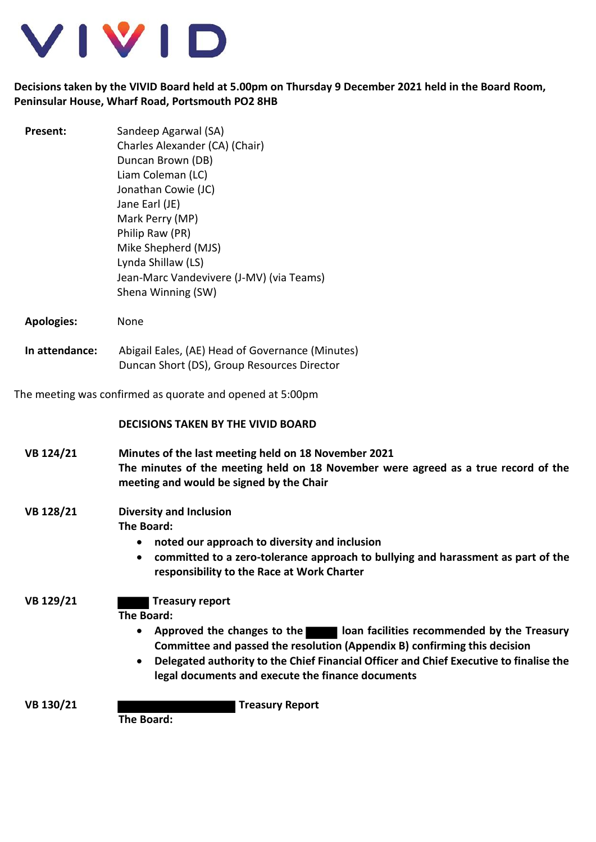

## **Decisions taken by the VIVID Board held at 5.00pm on Thursday 9 December 2021 held in the Board Room, Peninsular House, Wharf Road, Portsmouth PO2 8HB**

| <b>Present:</b>                                           | Sandeep Agarwal (SA)<br>Charles Alexander (CA) (Chair)<br>Duncan Brown (DB)<br>Liam Coleman (LC)<br>Jonathan Cowie (JC)<br>Jane Earl (JE)<br>Mark Perry (MP)<br>Philip Raw (PR)<br>Mike Shepherd (MJS)<br>Lynda Shillaw (LS)<br>Jean-Marc Vandevivere (J-MV) (via Teams)<br>Shena Winning (SW)                                                                       |
|-----------------------------------------------------------|----------------------------------------------------------------------------------------------------------------------------------------------------------------------------------------------------------------------------------------------------------------------------------------------------------------------------------------------------------------------|
| <b>Apologies:</b>                                         | None                                                                                                                                                                                                                                                                                                                                                                 |
| In attendance:                                            | Abigail Eales, (AE) Head of Governance (Minutes)<br>Duncan Short (DS), Group Resources Director                                                                                                                                                                                                                                                                      |
| The meeting was confirmed as quorate and opened at 5:00pm |                                                                                                                                                                                                                                                                                                                                                                      |
|                                                           | <b>DECISIONS TAKEN BY THE VIVID BOARD</b>                                                                                                                                                                                                                                                                                                                            |
| VB 124/21                                                 | Minutes of the last meeting held on 18 November 2021<br>The minutes of the meeting held on 18 November were agreed as a true record of the<br>meeting and would be signed by the Chair                                                                                                                                                                               |
| VB 128/21                                                 | <b>Diversity and Inclusion</b><br>The Board:<br>noted our approach to diversity and inclusion<br>$\bullet$<br>committed to a zero-tolerance approach to bullying and harassment as part of the<br>$\bullet$<br>responsibility to the Race at Work Charter                                                                                                            |
| VB 129/21                                                 | <b>Treasury report</b><br><b>The Board:</b><br>Approved the changes to the loan facilities recommended by the Treasury<br>$\bullet$<br>Committee and passed the resolution (Appendix B) confirming this decision<br>Delegated authority to the Chief Financial Officer and Chief Executive to finalise the<br>٠<br>legal documents and execute the finance documents |
| VB 130/21                                                 | <b>Treasury Report</b><br>The Desudi                                                                                                                                                                                                                                                                                                                                 |

**The Board:**